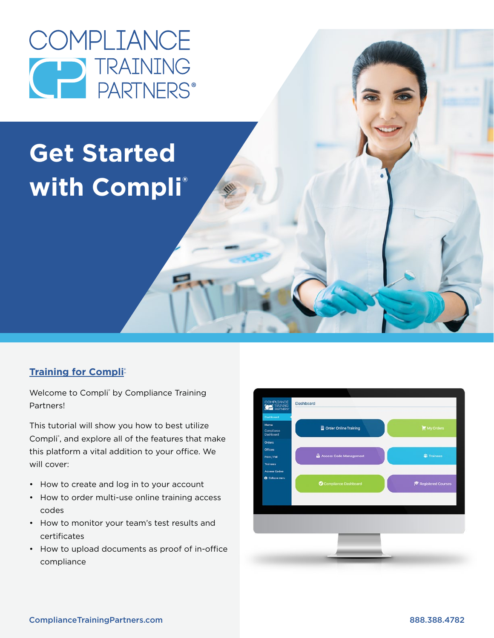

# **Get Started with Compli®**

### **Training for Compli<sup>®</sup>**

Welcome to Compli<sup>®</sup> by Compliance Training Partners!

This tutorial will show you how to best utilize Compli<sup>®</sup>, and explore all of the features that make this platform a vital addition to your office. We will cover:

- How to create and log in to your account
- How to order multi-use online training access codes
- How to monitor your team's test results and certificates
- How to upload documents as proof of in-office compliance

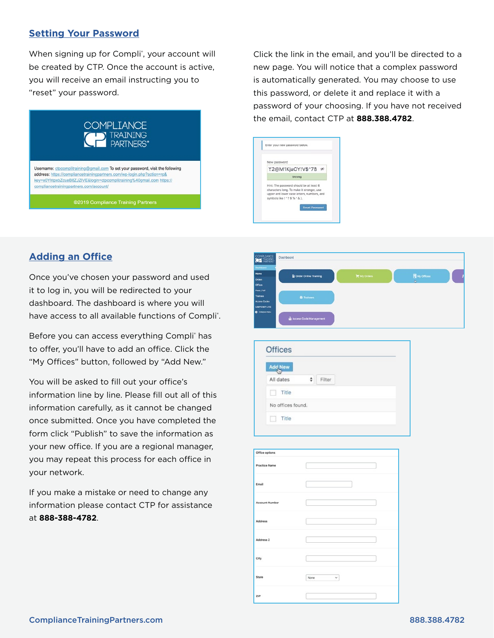### **Setting Your Password**

When signing up for Compli<sup>®</sup>, your account will be created by CTP. Once the account is active, you will receive an email instructing you to "reset" your password.



Click the link in the email, and you'll be directed to a new page. You will notice that a complex password is automatically generated. You may choose to use this password, or delete it and replace it with a password of your choosing. If you have not received the email, contact CTP at **888.388.4782**.



## **Adding an Office**

Once you've chosen your password and used it to log in, you will be redirected to your dashboard. The dashboard is where you will have access to all available functions of Compli®.

Before you can access everything Compli<sup>®</sup> has to offer, you'll have to add an office. Click the "My Offices" button, followed by "Add New."

You will be asked to fill out your office's information line by line. Please fill out all of this information carefully, as it cannot be changed once submitted. Once you have completed the form click "Publish" to save the information as your new office. If you are a regional manager, you may repeat this process for each office in your network.

If you make a mistake or need to change any information please contact CTP for assistance at **888-388-4782**.



| <b>Offices</b>    |   |        |  |
|-------------------|---|--------|--|
| <b>Add New</b>    |   |        |  |
| All dates         | ٥ | Filter |  |
| Title             |   |        |  |
| No offices found. |   |        |  |
| Title             |   |        |  |

| Office options        |           |  |
|-----------------------|-----------|--|
| <b>Practice Name</b>  |           |  |
| Email                 |           |  |
| <b>Account Number</b> |           |  |
| Address               |           |  |
| Address 2             |           |  |
| City                  |           |  |
| State                 | None<br>v |  |
| ZIP                   |           |  |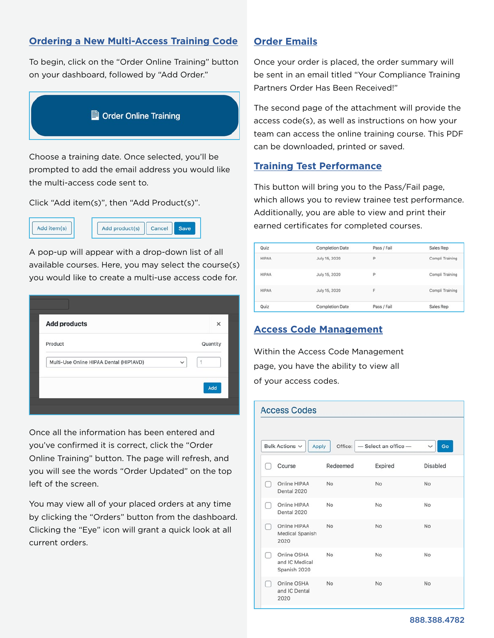### **Ordering a New Multi-Access Training Code Order Emails**

To begin, click on the "Order Online Training" button on your dashboard, followed by "Add Order."



Choose a training date. Once selected, you'll be prompted to add the email address you would like the multi-access code sent to.

Click "Add item(s)", then "Add Product(s)".



A pop-up will appear with a drop-down list of all available courses. Here, you may select the course(s) you would like to create a multi-use access code for.

| <b>Add products</b><br>Product                               | ×<br>Quantity |
|--------------------------------------------------------------|---------------|
|                                                              |               |
|                                                              |               |
| Multi-Use Online HIPAA Dental (HIP1AVD)<br>h<br>$\checkmark$ |               |

Once all the information has been entered and you've confirmed it is correct, click the "Order Online Training" button. The page will refresh, and you will see the words "Order Updated" on the top left of the screen.

You may view all of your placed orders at any time by clicking the "Orders" button from the dashboard. Clicking the "Eye" icon will grant a quick look at all current orders.

Once your order is placed, the order summary will be sent in an email titled "Your Compliance Training Partners Order Has Been Received!"

The second page of the attachment will provide the access code(s), as well as instructions on how your team can access the online training course. This PDF can be downloaded, printed or saved.

### **Training Test Performance**

This button will bring you to the Pass/Fail page, which allows you to review trainee test performance. Additionally, you are able to view and print their earned certificates for completed courses.

| Quiz         | <b>Completion Date</b> | Pass / Fail | Sales Rep       |
|--------------|------------------------|-------------|-----------------|
| <b>HIPAA</b> | July 15, 2020          | P           | Compli Training |
| <b>HIPAA</b> | July 15, 2020          | P           | Compli Training |
| <b>HIPAA</b> | July 15, 2020          | F           | Compli Training |
| Quiz         | <b>Completion Date</b> | Pass / Fail | Sales Rep       |

### **Access Code Management**

Within the Access Code Management page, you have the ability to view all of your access codes.

### **Access Codes**

| Bulk Actions v<br>$-$ Select an office $-$<br>Go<br>Apply<br>Office:<br>$\checkmark$ |                                               |           |         |                 |
|--------------------------------------------------------------------------------------|-----------------------------------------------|-----------|---------|-----------------|
|                                                                                      | Course                                        | Redeemed  | Expired | <b>Disabled</b> |
|                                                                                      | Online HIPAA<br>Dental 2020                   | <b>No</b> | No      | <b>No</b>       |
|                                                                                      | Online HIPAA<br>Dental 2020                   | No        | No      | No              |
|                                                                                      | Online HIPAA<br>Medical Spanish<br>2020       | <b>No</b> | No      | No              |
|                                                                                      | Online OSHA<br>and IC Medical<br>Spanish 2020 | No        | No      | No              |
|                                                                                      | Online OSHA<br>and IC Dental<br>2020          | <b>No</b> | No      | No              |